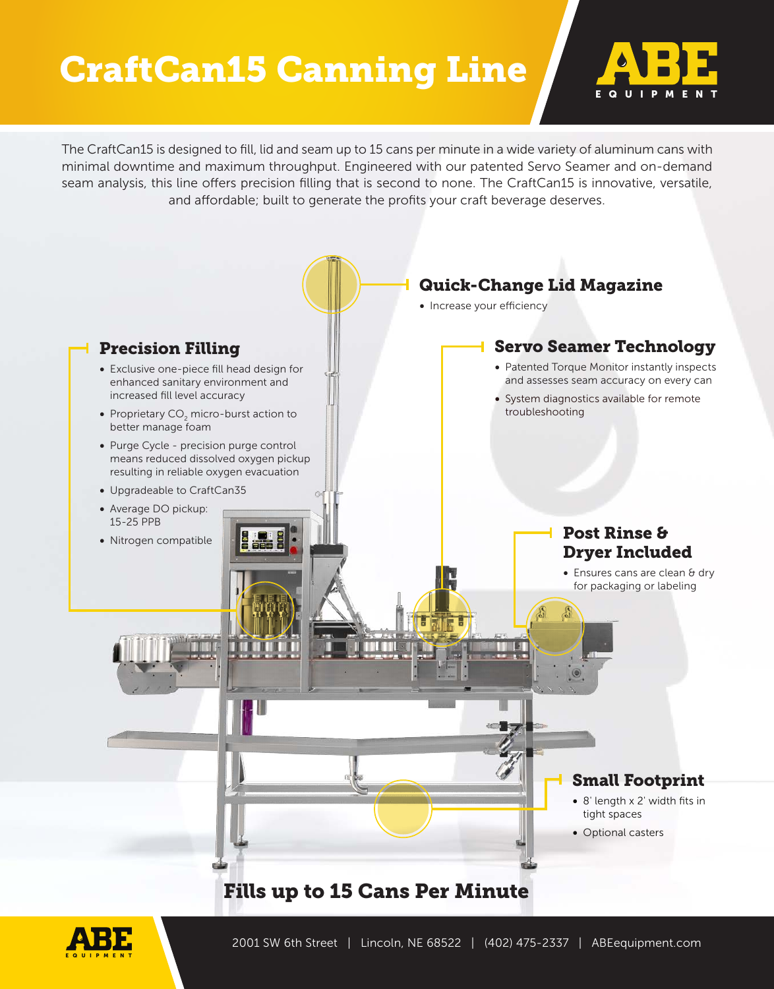## CraftCan15 Canning Line



The CraftCan15 is designed to fill, lid and seam up to 15 cans per minute in a wide variety of aluminum cans with minimal downtime and maximum throughput. Engineered with our patented Servo Seamer and on-demand seam analysis, this line offers precision filling that is second to none. The CraftCan15 is innovative, versatile, and affordable; built to generate the profits your craft beverage deserves.

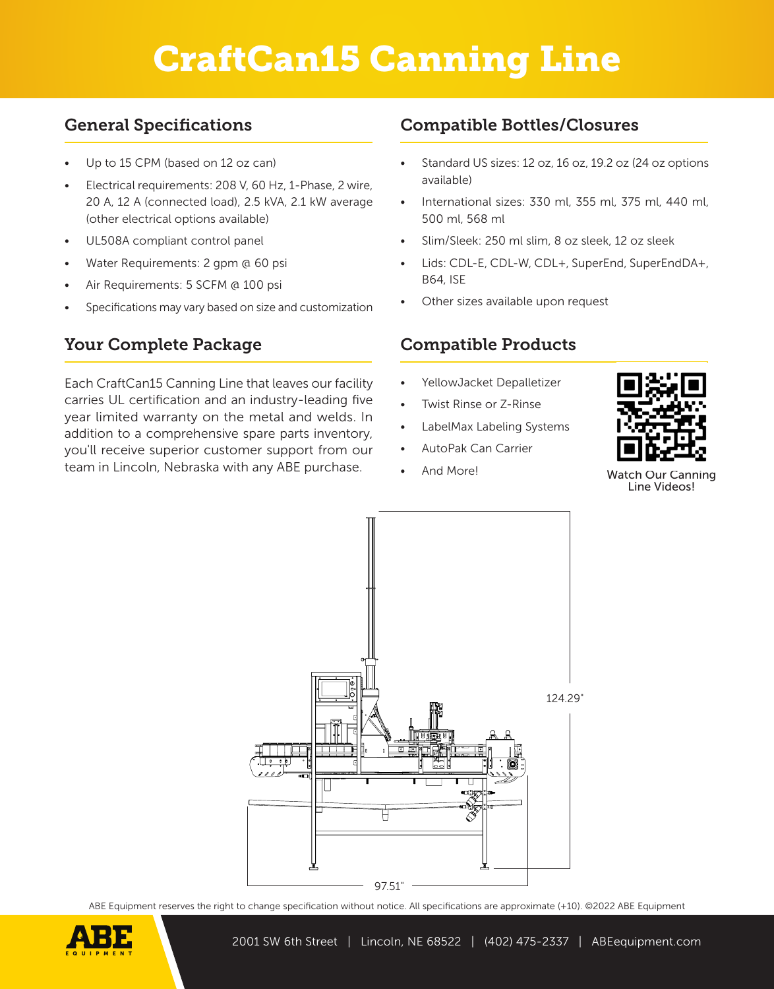# CraftCan15 Canning Line

### General Specifications

- Up to 15 CPM (based on 12 oz can)
- Electrical requirements: 208 V, 60 Hz, 1-Phase, 2 wire, 20 A, 12 A (connected load), 2.5 kVA, 2.1 kW average (other electrical options available)
- UL508A compliant control panel
- Water Requirements: 2 gpm @ 60 psi
- Air Requirements: 5 SCFM @ 100 psi
- Specifications may vary based on size and customization

### Your Complete Package

Each CraftCan15 Canning Line that leaves our facility carries UL certification and an industry-leading five year limited warranty on the metal and welds. In addition to a comprehensive spare parts inventory, you'll receive superior customer support from our team in Lincoln, Nebraska with any ABE purchase.

### Compatible Bottles/Closures

- Standard US sizes: 12 oz, 16 oz, 19.2 oz (24 oz options available)
- International sizes: 330 ml, 355 ml, 375 ml, 440 ml, 500 ml, 568 ml
- Slim/Sleek: 250 ml slim, 8 oz sleek, 12 oz sleek
- Lids: CDL-E, CDL-W, CDL+, SuperEnd, SuperEndDA+, B64, ISE
- Other sizes available upon request

#### Compatible Products

- YellowJacket Depalletizer
- Twist Rinse or Z-Rinse
- LabelMax Labeling Systems
- AutoPak Can Carrier
- 



And More! Watch Our Canning Line Videos!



ABE Equipment reserves the right to change specification without notice. All specifications are approximate (+10). ©2022 ABE Equipment

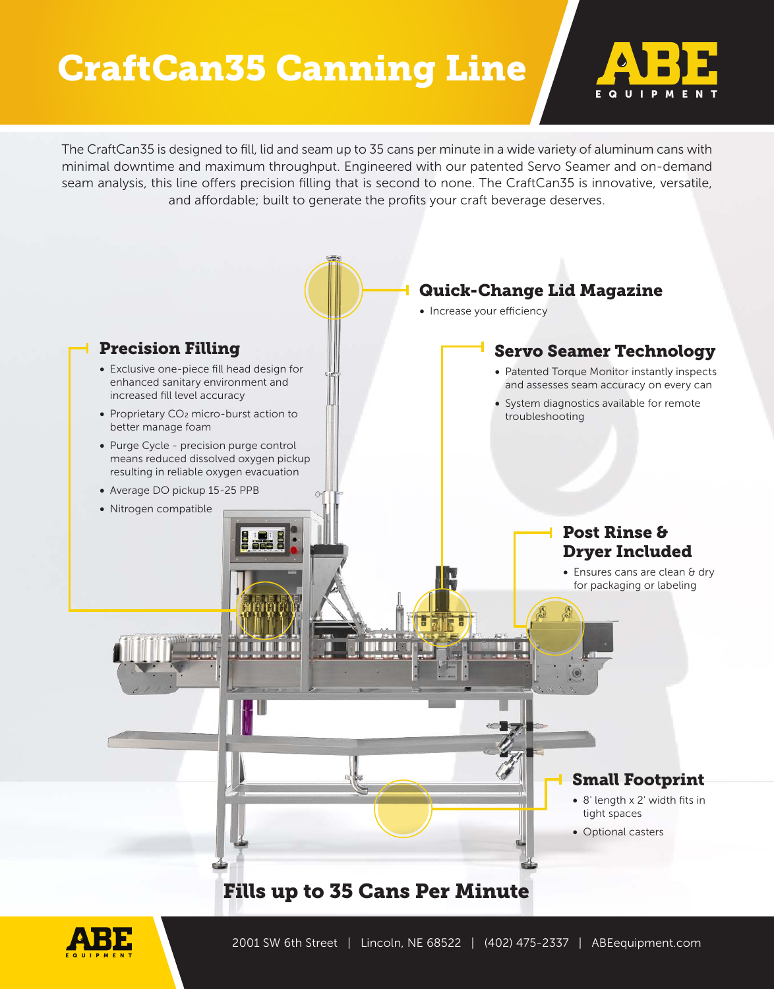## CraftCan35 Canning Line



The CraftCan35 is designed to fill, lid and seam up to 35 cans per minute in a wide variety of aluminum cans with minimal downtime and maximum throughput. Engineered with our patented Servo Seamer and on-demand seam analysis, this line offers precision filling that is second to none. The CraftCan35 is innovative, versatile, and affordable; built to generate the profits your craft beverage deserves.